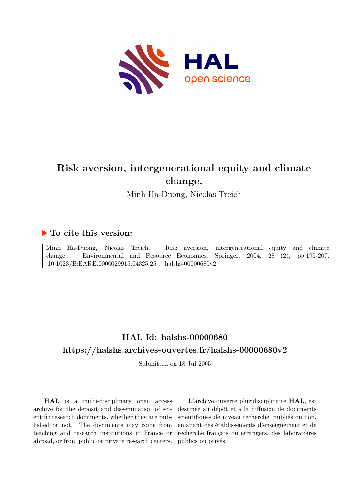

# **Risk aversion, intergenerational equity and climate change.**

Minh Ha-Duong, Nicolas Treich

## **To cite this version:**

Minh Ha-Duong, Nicolas Treich. Risk aversion, intergenerational equity and climate change.. Environmental and Resource Economics, Springer, 2004, 28 (2), pp.195-207.  $10.1023/B:EARE.0000029915.04325.25$ . halshs-00000680v2

## **HAL Id: halshs-00000680 <https://halshs.archives-ouvertes.fr/halshs-00000680v2>**

Submitted on 18 Jul 2005

**HAL** is a multi-disciplinary open access archive for the deposit and dissemination of scientific research documents, whether they are published or not. The documents may come from teaching and research institutions in France or abroad, or from public or private research centers.

L'archive ouverte pluridisciplinaire **HAL**, est destinée au dépôt et à la diffusion de documents scientifiques de niveau recherche, publiés ou non, émanant des établissements d'enseignement et de recherche français ou étrangers, des laboratoires publics ou privés.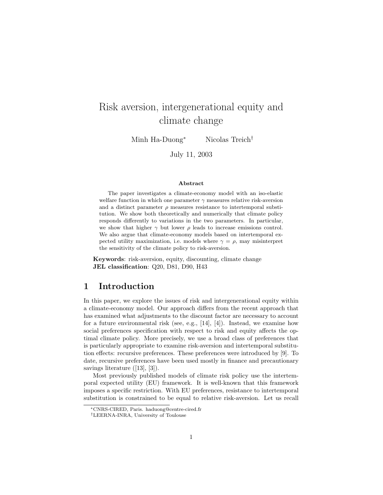## Risk aversion, intergenerational equity and climate change

Minh Ha-Duong<sup>∗</sup> Nicolas Treich†

July 11, 2003

#### Abstract

The paper investigates a climate-economy model with an iso-elastic welfare function in which one parameter  $\gamma$  measures relative risk-aversion and a distinct parameter  $\rho$  measures resistance to intertemporal substitution. We show both theoretically and numerically that climate policy responds differently to variations in the two parameters. In particular, we show that higher  $\gamma$  but lower  $\rho$  leads to increase emissions control. We also argue that climate-economy models based on intertemporal expected utility maximization, i.e. models where  $\gamma = \rho$ , may misinterpret the sensitivity of the climate policy to risk-aversion.

Keywords: risk-aversion, equity, discounting, climate change JEL classification: Q20, D81, D90, H43

### 1 Introduction

In this paper, we explore the issues of risk and intergenerational equity within a climate-economy model. Our approach differs from the recent approach that has examined what adjustments to the discount factor are necessary to account for a future environmental risk (see, e.g., [14], [4]). Instead, we examine how social preferences specification with respect to risk and equity affects the optimal climate policy. More precisely, we use a broad class of preferences that is particularly appropriate to examine risk-aversion and intertemporal substitution effects: recursive preferences. These preferences were introduced by [9]. To date, recursive preferences have been used mostly in finance and precautionary savings literature ([13], [3]).

Most previously published models of climate risk policy use the intertemporal expected utility (EU) framework. It is well-known that this framework imposes a specific restriction. With EU preferences, resistance to intertemporal substitution is constrained to be equal to relative risk-aversion. Let us recall

<sup>∗</sup>CNRS-CIRED, Paris. haduong@centre-cired.fr

<sup>†</sup>LEERNA-INRA, University of Toulouse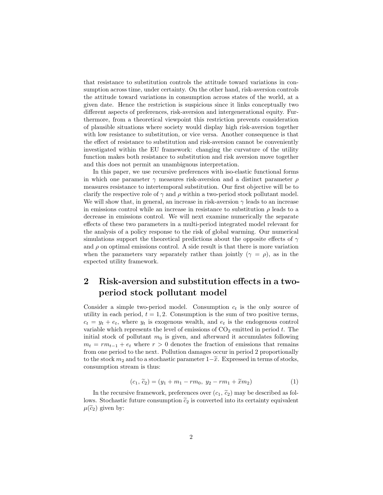that resistance to substitution controls the attitude toward variations in consumption across time, under certainty. On the other hand, risk-aversion controls the attitude toward variations in consumption across states of the world, at a given date. Hence the restriction is suspicious since it links conceptually two different aspects of preferences, risk-aversion and intergenerational equity. Furthermore, from a theoretical viewpoint this restriction prevents consideration of plausible situations where society would display high risk-aversion together with low resistance to substitution, or vice versa. Another consequence is that the effect of resistance to substitution and risk-aversion cannot be conveniently investigated within the EU framework: changing the curvature of the utility function makes both resistance to substitution and risk aversion move together and this does not permit an unambiguous interpretation.

In this paper, we use recursive preferences with iso-elastic functional forms in which one parameter  $\gamma$  measures risk-aversion and a distinct parameter  $\rho$ measures resistance to intertemporal substitution. Our first objective will be to clarify the respective role of  $\gamma$  and  $\rho$  within a two-period stock pollutant model. We will show that, in general, an increase in risk-aversion  $\gamma$  leads to an increase in emissions control while an increase in resistance to substitution  $\rho$  leads to a decrease in emissions control. We will next examine numerically the separate effects of these two parameters in a multi-period integrated model relevant for the analysis of a policy response to the risk of global warming. Our numerical simulations support the theoretical predictions about the opposite effects of  $\gamma$ and  $\rho$  on optimal emissions control. A side result is that there is more variation when the parameters vary separately rather than jointly  $(\gamma = \rho)$ , as in the expected utility framework.

### 2 Risk-aversion and substitution effects in a twoperiod stock pollutant model

Consider a simple two-period model. Consumption  $c_t$  is the only source of utility in each period,  $t = 1, 2$ . Consumption is the sum of two positive terms,  $c_t = y_t + e_t$ , where  $y_t$  is exogenous wealth, and  $e_t$  is the endogenous control variable which represents the level of emissions of  $CO<sub>2</sub>$  emitted in period t. The initial stock of pollutant  $m_0$  is given, and afterward it accumulates following  $m_t = rm_{t-1} + e_t$  where  $r > 0$  denotes the fraction of emissions that remains from one period to the next. Pollution damages occur in period 2 proportionally to the stock  $m_2$  and to a stochastic parameter  $1-\tilde{x}$ . Expressed in terms of stocks, consumption stream is thus:

$$
(c_1, \tilde{c}_2) = (y_1 + m_1 - rm_0, y_2 - rm_1 + \tilde{x}m_2)
$$
 (1)

In the recursive framework, preferences over  $(c_1, \tilde{c}_2)$  may be described as follows. Stochastic future consumption  $\tilde{c}_2$  is converted into its certainty equivalent  $\mu(\widetilde{c}_2)$  given by: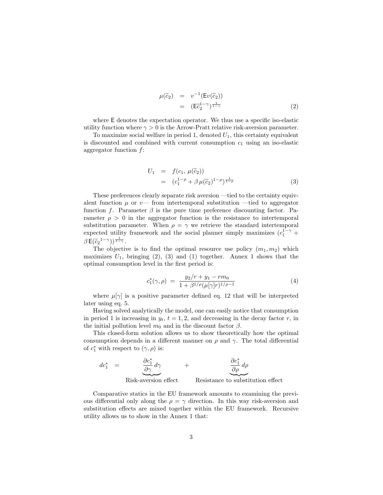$$
\mu(\widetilde{c}_2) = v^{-1}(\mathsf{E}v(\widetilde{c}_2))
$$
  
= 
$$
(\mathsf{E}\widetilde{c}_2^{1-\gamma})^{\frac{1}{1-\gamma}}
$$
 (2)

where E denotes the expectation operator. We thus use a specific iso-elastic utility function where  $\gamma > 0$  is the Arrow-Pratt relative risk-aversion parameter.

To maximize social welfare in period 1, denoted  $U_1$ , this certainty equivalent is discounted and combined with current consumption  $c_1$  using an iso-elastic aggregator function f:

$$
U_1 = f(c_1, \mu(\tilde{c}_2))
$$
  
=  $(c_1^{1-\rho} + \beta \mu(\tilde{c}_2)^{1-\rho})^{\frac{1}{1-\rho}}$  (3)

These preferences clearly separate risk aversion —tied to the certainty equivalent function  $\mu$  or  $\nu$ — from intertemporal substitution —tied to aggregator function f. Parameter  $\beta$  is the pure time preference discounting factor. Parameter  $\rho > 0$  in the aggregator function is the resistance to intertemporal substitution parameter. When  $\rho = \gamma$  we retrieve the standard intertemporal expected utility framework and the social planner simply maximizes  $(c_1^{1-\gamma} +$  $\beta \mathsf{E}(\widetilde{c}_2^{1-\gamma})^{\frac{1}{1-\gamma}}$ .<br>The objectiv

The objective is to find the optimal resource use policy  $(m_1, m_2)$  which maximizes  $U_1$ , bringing (2), (3) and (1) together. Annex 1 shows that the optimal consumption level in the first period is:

$$
c_1^*(\gamma, \rho) = \frac{y_2/r + y_1 - rm_0}{1 + \beta^{1/\rho}(\mu[\gamma]r)^{1/\rho - 1}} \tag{4}
$$

where  $\mu[\gamma]$  is a positive parameter defined eq. 12 that will be interpreted later using eq. 5.

Having solved analytically the model, one can easily notice that consumption in period 1 is increasing in  $y_t$ ,  $t = 1, 2$ , and decreasing in the decay factor r, in the initial pollution level  $m_0$  and in the discount factor  $\beta$ .

This closed-form solution allows us to show theoretically how the optimal consumption depends in a different manner on  $\rho$  and  $\gamma$ . The total differential of  $c_1^*$  with respect to  $(\gamma, \rho)$  is:

$$
dc_1^* = \frac{\partial c_1^*}{\partial \gamma} d\gamma + \frac{\partial c_1^*}{\partial \rho} d\rho
$$

Risk-aversion effect

Risk-aversion effect Resistance to substitution effect

Comparative statics in the EU framework amounts to examining the previous differential only along the  $\rho = \gamma$  direction. In this way risk-aversion and substitution effects are mixed together within the EU framework. Recursive utility allows us to show in the Annex 1 that: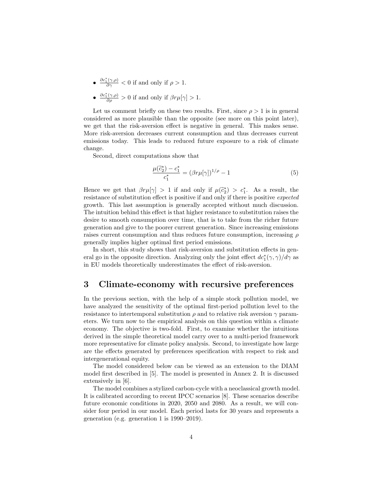- $\frac{\partial c_1^*(\gamma,\rho)}{\partial \gamma} < 0$  if and only if  $\rho > 1$ .
- $\frac{\partial c_1^*(\gamma,\rho)}{\partial \rho} > 0$  if and only if  $\beta r \mu[\gamma] > 1$ .

Let us comment briefly on these two results. First, since  $\rho > 1$  is in general considered as more plausible than the opposite (see more on this point later), we get that the risk-aversion effect is negative in general. This makes sense. More risk-aversion decreases current consumption and thus decreases current emissions today. This leads to reduced future exposure to a risk of climate change.

Second, direct computations show that

$$
\frac{\mu(\tilde{c}_2^*) - c_1^*}{c_1^*} = (\beta r \mu[\gamma])^{1/\rho} - 1 \tag{5}
$$

Hence we get that  $\beta r\mu[\gamma] > 1$  if and only if  $\mu(\tilde{c}_2^*) > c_1^*$ . As a result, the resistance of substitution offect is positive if and only if there is positive *errected* resistance of substitution effect is positive if and only if there is positive *expected* growth. This last assumption is generally accepted without much discussion. The intuition behind this effect is that higher resistance to substitution raises the desire to smooth consumption over time, that is to take from the richer future generation and give to the poorer current generation. Since increasing emissions raises current consumption and thus reduces future consumption, increasing  $\rho$ generally implies higher optimal first period emissions.

In short, this study shows that risk-aversion and substitution effects in general go in the opposite direction. Analyzing only the joint effect  $dc_1^*(\gamma, \gamma)/d\gamma$  as in EU models theoretically underestimates the effect of risk-aversion.

### 3 Climate-economy with recursive preferences

In the previous section, with the help of a simple stock pollution model, we have analyzed the sensitivity of the optimal first-period pollution level to the resistance to intertemporal substitution  $\rho$  and to relative risk aversion  $\gamma$  parameters. We turn now to the empirical analysis on this question within a climate economy. The objective is two-fold. First, to examine whether the intuitions derived in the simple theoretical model carry over to a multi-period framework more representative for climate policy analysis. Second, to investigate how large are the effects generated by preferences specification with respect to risk and intergenerational equity.

The model considered below can be viewed as an extension to the DIAM model first described in [5]. The model is presented in Annex 2. It is discussed extensively in [6].

The model combines a stylized carbon-cycle with a neoclassical growth model. It is calibrated according to recent IPCC scenarios [8]. These scenarios describe future economic conditions in 2020, 2050 and 2080. As a result, we will consider four period in our model. Each period lasts for 30 years and represents a generation (e.g. generation 1 is 1990–2019).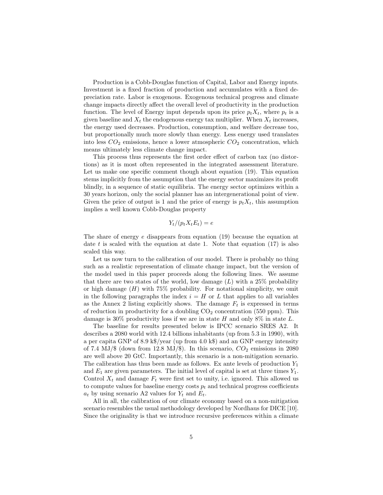Production is a Cobb-Douglas function of Capital, Labor and Energy inputs. Investment is a fixed fraction of production and accumulates with a fixed depreciation rate. Labor is exogenous. Exogenous technical progress and climate change impacts directly affect the overall level of productivity in the production function. The level of Energy input depends upon its price  $p_t X_t$ , where  $p_t$  is a given baseline and  $X_t$  the endogenous energy tax multiplier. When  $X_t$  increases, the energy used decreases. Production, consumption, and welfare decrease too, but proportionally much more slowly than energy. Less energy used translates into less  $CO<sub>2</sub>$  emissions, hence a lower atmospheric  $CO<sub>2</sub>$  concentration, which means ultimately less climate change impact.

This process thus represents the first order effect of carbon tax (no distortions) as it is most often represented in the integrated assessment literature. Let us make one specific comment though about equation (19). This equation stems implicitly from the assumption that the energy sector maximizes its profit blindly, in a sequence of static equilibria. The energy sector optimizes within a 30 years horizon, only the social planner has an intergenerational point of view. Given the price of output is 1 and the price of energy is  $p_t X_t$ , this assumption implies a well known Cobb-Douglas property

$$
Y_t/(p_t X_t E_t) = e
$$

The share of energy e disappears from equation (19) because the equation at date  $t$  is scaled with the equation at date 1. Note that equation (17) is also scaled this way.

Let us now turn to the calibration of our model. There is probably no thing such as a realistic representation of climate change impact, but the version of the model used in this paper proceeds along the following lines. We assume that there are two states of the world, low damage  $(L)$  with a 25% probability or high damage  $(H)$  with 75% probability. For notational simplicity, we omit in the following paragraphs the index  $i = H$  or L that applies to all variables as the Annex 2 listing explicitly shows. The damage  $F_t$  is expressed in terms of reduction in productivity for a doubling  $CO<sub>2</sub>$  concentration (550 ppm). This damage is 30% productivity loss if we are in state H and only  $8\%$  in state L.

The baseline for results presented below is IPCC scenario SRES A2. It describes a 2080 world with 12.4 billions inhabitants (up from 5.3 in 1990), with a per capita GNP of 8.9 k\$/year (up from 4.0 k\$) and an GNP energy intensity of 7.4 MJ/\$ (down from 12.8 MJ/\$). In this scenario,  $CO_2$  emissions in 2080 are well above 20 GtC. Importantly, this scenario is a non-mitigation scenario. The calibration has thus been made as follows. Ex ante levels of production  $Y_1$ and  $E_1$  are given parameters. The initial level of capital is set at three times  $Y_1$ . Control  $X_t$  and damage  $F_t$  were first set to unity, i.e. ignored. This allowed us to compute values for baseline energy costs  $p_t$  and technical progress coefficients  $a_t$  by using scenario A2 values for  $Y_t$  and  $E_t$ .

All in all, the calibration of our climate economy based on a non-mitigation scenario resembles the usual methodology developed by Nordhaus for DICE [10]. Since the originality is that we introduce recursive preferences within a climate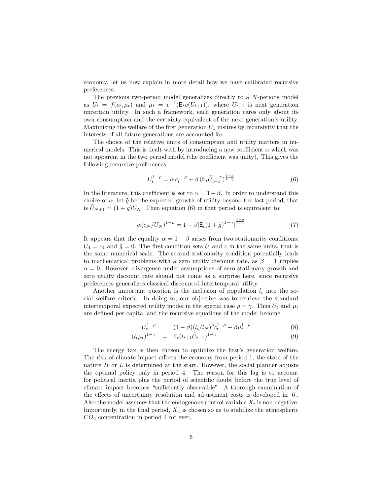economy, let us now explain in more detail how we have calibrated recursive preferences.

The previous two-period model generalizes directly to a N-periods model as  $U_t = f(c_t, \mu_t)$  and  $\mu_t = v^{-1}(\mathsf{E}_t v(\tilde{U}_{t+1}))$ , where  $\tilde{U}_{t+1}$  is next generation uncertain utility. In such a framework, each generation cares only about its own consumption and the certainty equivalent of the next generation's utility. Maximizing the welfare of the first generation  $U_1$  insures by recursivity that the interests of all future generations are accounted for.

The choice of the relative units of consumption and utility matters in numerical models. This is dealt with by introducing a new coefficient  $\alpha$  which was not apparent in the two period model (the coefficient was unity). This gives the following recursive preferences:

$$
U_t^{1-\rho} = \alpha c_t^{1-\rho} + \beta \left( \mathsf{E}_t \tilde{U}_{t+1}^{1-\gamma} \right)^{\frac{1-\rho}{1-\gamma}}
$$
(6)

In the literature, this coefficient is set to  $\alpha = 1 - \beta$ . In order to understand this choice of  $\alpha$ , let  $\tilde{q}$  be the expected growth of utility beyond the last period, that is  $U_{N+1} = (1 + \tilde{g})U_N$ . Then equation (6) in that period is equivalent to:

$$
\alpha(c_N/U_N)^{1-\rho} = 1 - \beta \left[ \mathsf{E}_t (1+\tilde{g})^{1-\gamma} \right]^{\frac{1-\rho}{1-\gamma}} \tag{7}
$$

It appears that the equality  $\alpha = 1 - \beta$  arises from two stationarity conditions:  $U_4 = c_4$  and  $\tilde{g} = 0$ . The first condition sets U and c in the same units, that is the same numerical scale. The second stationarity condition potentially leads to mathematical problems with a zero utility discount rate, as  $\beta = 1$  implies  $\alpha = 0$ . However, divergence under assumptions of zero stationary growth and zero utility discount rate should not come as a surprise here, since recursive preferences generalizes classical discounted intertemporal utility.

Another important question is the inclusion of population  $l_t$  into the social welfare criteria. In doing so, our objective was to retrieve the standard intertemporal expected utility model in the special case  $\rho = \gamma$ . Thus  $U_t$  and  $\mu_t$ are defined per capita, and the recursive equations of the model become:

$$
U_t^{1-\rho} = (1-\beta)(l_t/l_N)^{\rho}c_t^{1-\rho} + \beta\mu_t^{1-\rho}
$$
 (8)

$$
(l_t \mu_t)^{1-\gamma} = \mathsf{E}_t (l_{t+1} \tilde{U}_{t+1})^{1-\gamma} \tag{9}
$$

The energy tax is then chosen to optimize the first's generation welfare. The risk of climate impact affects the economy from period 1, the state of the nature  $H$  or  $L$  is determined at the start. However, the social planner adjusts the optimal policy only in period 4. The reason for this lag is to account for political inertia plus the period of scientific doubt before the true level of climate impact becomes "sufficiently observable". A thorough examination of the effects of uncertainty resolution and adjustment costs is developed in [6]. Also the model assumes that the endogenous control variable  $X_t$  is non negative. Importantly, in the final period,  $X_4$  is chosen so as to stabilize the atmospheric  $CO<sub>2</sub>$  concentration in period 4 for ever.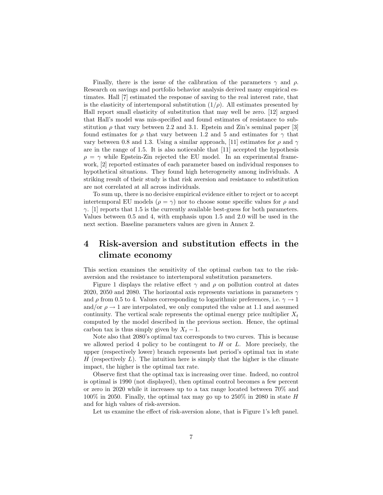Finally, there is the issue of the calibration of the parameters  $\gamma$  and  $\rho$ . Research on savings and portfolio behavior analysis derived many empirical estimates. Hall [7] estimated the response of saving to the real interest rate, that is the elasticity of intertemporal substitution  $(1/\rho)$ . All estimates presented by Hall report small elasticity of substitution that may well be zero. [12] argued that Hall's model was mis-specified and found estimates of resistance to substitution  $\rho$  that vary between 2.2 and 3.1. Epstein and Zin's seminal paper [3] found estimates for  $\rho$  that vary between 1.2 and 5 and estimates for  $\gamma$  that vary between 0.8 and 1.3. Using a similar approach, [11] estimates for  $\rho$  and  $\gamma$ are in the range of 1.5. It is also noticeable that [11] accepted the hypothesis  $\rho = \gamma$  while Epstein-Zin rejected the EU model. In an experimental framework, [2] reported estimates of each parameter based on individual responses to hypothetical situations. They found high heterogeneity among individuals. A striking result of their study is that risk aversion and resistance to substitution are not correlated at all across individuals.

To sum up, there is no decisive empirical evidence either to reject or to accept intertemporal EU models ( $\rho = \gamma$ ) nor to choose some specific values for  $\rho$  and  $\gamma$ . [1] reports that 1.5 is the currently available best-guess for both parameters. Values between 0.5 and 4, with emphasis upon 1.5 and 2.0 will be used in the next section. Baseline parameters values are given in Annex 2.

## 4 Risk-aversion and substitution effects in the climate economy

This section examines the sensitivity of the optimal carbon tax to the riskaversion and the resistance to intertemporal substitution parameters.

Figure 1 displays the relative effect  $\gamma$  and  $\rho$  on pollution control at dates 2020, 2050 and 2080. The horizontal axis represents variations in parameters  $\gamma$ and  $\rho$  from 0.5 to 4. Values corresponding to logarithmic preferences, i.e.  $\gamma \to 1$ and/or  $\rho \rightarrow 1$  are interpolated, we only computed the value at 1.1 and assumed continuity. The vertical scale represents the optimal energy price multiplier  $X_t$ computed by the model described in the previous section. Hence, the optimal carbon tax is thus simply given by  $X_t - 1$ .

Note also that 2080's optimal tax corresponds to two curves. This is because we allowed period 4 policy to be contingent to  $H$  or  $L$ . More precisely, the upper (respectively lower) branch represents last period's optimal tax in state H (respectively  $L$ ). The intuition here is simply that the higher is the climate impact, the higher is the optimal tax rate.

Observe first that the optimal tax is increasing over time. Indeed, no control is optimal is 1990 (not displayed), then optimal control becomes a few percent or zero in 2020 while it increases up to a tax range located between 70% and  $100\%$  in 2050. Finally, the optimal tax may go up to 250% in 2080 in state H and for high values of risk-aversion.

Let us examine the effect of risk-aversion alone, that is Figure 1's left panel.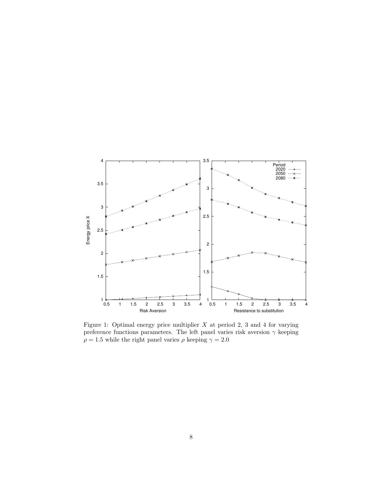

Figure 1: Optimal energy price multiplier  $X$  at period 2, 3 and 4 for varying preference functions parameters. The left panel varies risk aversion  $\gamma$  keeping  $\rho=1.5$  while the right panel varies  $\rho$  keeping  $\gamma=2.0$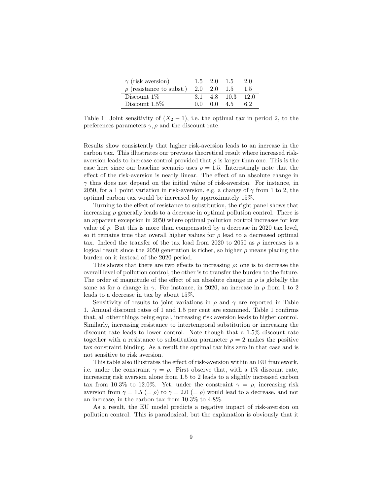| $\gamma$ (risk aversion)                  |      | $1.5 \quad 2.0$ | -1.5              | 2.0  |
|-------------------------------------------|------|-----------------|-------------------|------|
| $\rho$ (resistance to subst.) 2.0 2.0 1.5 |      |                 |                   | -1.5 |
| Discount $1\%$                            |      |                 | 3.1 4.8 10.3 12.0 |      |
| Discount $1.5\%$                          | 00 - |                 | $0.0 \quad 4.5$   | 6.2  |

Table 1: Joint sensitivity of  $(X_2 - 1)$ , i.e. the optimal tax in period 2, to the preferences parameters  $\gamma$ ,  $\rho$  and the discount rate.

Results show consistently that higher risk-aversion leads to an increase in the carbon tax. This illustrates our previous theoretical result where increased riskaversion leads to increase control provided that  $\rho$  is larger than one. This is the case here since our baseline scenario uses  $\rho = 1.5$ . Interestingly note that the effect of the risk-aversion is nearly linear. The effect of an absolute change in  $\gamma$  thus does not depend on the initial value of risk-aversion. For instance, in 2050, for a 1 point variation in risk-aversion, e.g. a change of  $\gamma$  from 1 to 2, the optimal carbon tax would be increased by approximately 15%.

Turning to the effect of resistance to substitution, the right panel shows that increasing  $\rho$  generally leads to a decrease in optimal pollution control. There is an apparent exception in 2050 where optimal pollution control increases for low value of  $\rho$ . But this is more than compensated by a decrease in 2020 tax level, so it remains true that overall higher values for  $\rho$  lead to a decreased optimal tax. Indeed the transfer of the tax load from 2020 to 2050 as  $\rho$  increases is a logical result since the 2050 generation is richer, so higher  $\rho$  means placing the burden on it instead of the 2020 period.

This shows that there are two effects to increasing  $\rho$ : one is to decrease the overall level of pollution control, the other is to transfer the burden to the future. The order of magnitude of the effect of an absolute change in  $\rho$  is globally the same as for a change in  $\gamma$ . For instance, in 2020, an increase in  $\rho$  from 1 to 2 leads to a decrease in tax by about 15%.

Sensitivity of results to joint variations in  $\rho$  and  $\gamma$  are reported in Table 1. Annual discount rates of 1 and 1.5 per cent are examined. Table 1 confirms that, all other things being equal, increasing risk aversion leads to higher control. Similarly, increasing resistance to intertemporal substitution or increasing the discount rate leads to lower control. Note though that a 1.5% discount rate together with a resistance to substitution parameter  $\rho = 2$  makes the positive tax constraint binding. As a result the optimal tax hits zero in that case and is not sensitive to risk aversion.

This table also illustrates the effect of risk-aversion within an EU framework, i.e. under the constraint  $\gamma = \rho$ . First observe that, with a 1% discount rate, increasing risk aversion alone from 1.5 to 2 leads to a slightly increased carbon tax from 10.3% to 12.0%. Yet, under the constraint  $\gamma = \rho$ , increasing risk aversion from  $\gamma = 1.5$  (=  $\rho$ ) to  $\gamma = 2.0$  (=  $\rho$ ) would lead to a decrease, and not an increase, in the carbon tax from 10.3% to 4.8%.

As a result, the EU model predicts a negative impact of risk-aversion on pollution control. This is paradoxical, but the explanation is obviously that it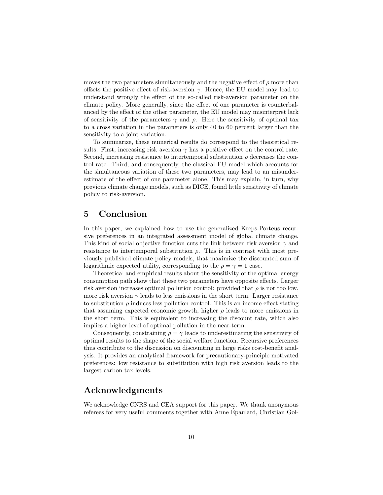moves the two parameters simultaneously and the negative effect of  $\rho$  more than offsets the positive effect of risk-aversion  $\gamma$ . Hence, the EU model may lead to understand wrongly the effect of the so-called risk-aversion parameter on the climate policy. More generally, since the effect of one parameter is counterbalanced by the effect of the other parameter, the EU model may misinterpret lack of sensitivity of the parameters  $\gamma$  and  $\rho$ . Here the sensitivity of optimal tax to a cross variation in the parameters is only 40 to 60 percent larger than the sensitivity to a joint variation.

To summarize, these numerical results do correspond to the theoretical results. First, increasing risk aversion  $\gamma$  has a positive effect on the control rate. Second, increasing resistance to intertemporal substitution  $\rho$  decreases the control rate. Third, and consequently, the classical EU model which accounts for the simultaneous variation of these two parameters, may lead to an misunderestimate of the effect of one parameter alone. This may explain, in turn, why previous climate change models, such as DICE, found little sensitivity of climate policy to risk-aversion.

### 5 Conclusion

In this paper, we explained how to use the generalized Kreps-Porteus recursive preferences in an integrated assessment model of global climate change. This kind of social objective function cuts the link between risk aversion  $\gamma$  and resistance to intertemporal substitution  $\rho$ . This is in contrast with most previously published climate policy models, that maximize the discounted sum of logarithmic expected utility, corresponding to the  $\rho = \gamma = 1$  case.

Theoretical and empirical results about the sensitivity of the optimal energy consumption path show that these two parameters have opposite effects. Larger risk aversion increases optimal pollution control: provided that  $\rho$  is not too low, more risk aversion  $\gamma$  leads to less emissions in the short term. Larger resistance to substitution  $\rho$  induces less pollution control. This is an income effect stating that assuming expected economic growth, higher  $\rho$  leads to more emissions in the short term. This is equivalent to increasing the discount rate, which also implies a higher level of optimal pollution in the near-term.

Consequently, constraining  $\rho = \gamma$  leads to underestimating the sensitivity of optimal results to the shape of the social welfare function. Recursive preferences thus contribute to the discussion on discounting in large risks cost-benefit analysis. It provides an analytical framework for precautionary-principle motivated preferences: low resistance to substitution with high risk aversion leads to the largest carbon tax levels.

### Acknowledgments

We acknowledge CNRS and CEA support for this paper. We thank anonymous referees for very useful comments together with Anne Epaulard, Christian Gol- ´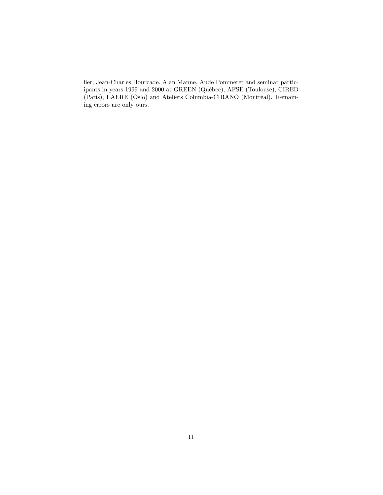lier, Jean-Charles Hourcade, Alan Manne, Aude Pommeret and seminar participants in years 1999 and 2000 at GREEN (Québec), AFSE (Toulouse), CIRED (Paris), EAERE (Oslo) and Ateliers Columbia-CIRANO (Montréal). Remaining errors are only ours.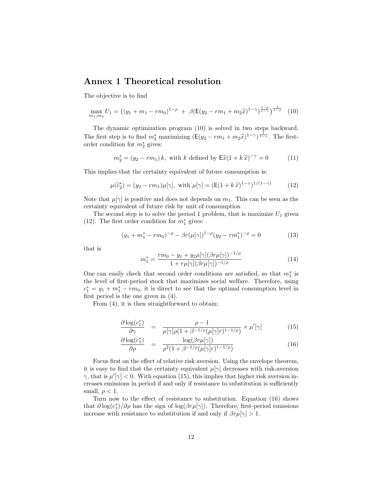### Annex 1 Theoretical resolution

The objective is to find

$$
\max_{m_1, m_2} U_1 = \left( (y_1 + m_1 - rm_0)^{1-\rho} + \beta \left( \mathsf{E}(y_2 - rm_1 + m_2 \tilde{x})^{1-\gamma} \right)^{\frac{1-\rho}{1-\gamma}} \right)^{\frac{1}{1-\rho}} \tag{10}
$$

The dynamic optimization program (10) is solved in two steps backward. The first step is to find  $m_2^*$  maximizing  $(\mathsf{E}(y_2 - rm_1 + m_2\tilde{x})^{1-\gamma})^{\frac{1}{1-\gamma}}$ . The firstorder condition for  $m_2^*$  gives:

$$
m_2^* = (y_2 - rm_1) k, \text{ with } k \text{ defined by } \mathsf{E}\tilde{x}(1 + k\tilde{x})^{-\gamma} = 0 \tag{11}
$$

This implies that the certainty equivalent of future consumption is:

$$
\mu(\tilde{c}_2^*) = (y_2 - rm_1)\mu[\gamma], \text{ with } \mu[\gamma] = (\mathsf{E}(1 + k\,\tilde{x})^{1-\gamma})^{1/(1-\gamma)} \tag{12}
$$

Note that  $\mu[\gamma]$  is positive and does not depends on  $m_1$ . This can be seen as the certainty equivalent of future risk by unit of consumption

The second step is to solve the period 1 problem, that is maximize  $U_1$  given (12). The first order condition for  $m_1^*$  gives:

$$
(y_1 + m_1^* - rm_0)^{-\rho} - \beta r(\mu[\gamma])^{1-\rho}(y_2 - rm_1^*)^{-\rho} = 0 \tag{13}
$$

that is

$$
m_1^* = \frac{rm_0 - y_1 + y_2\mu[\gamma](\beta r\mu[\gamma])^{-1/\rho}}{1 + r\mu[\gamma](\beta r\mu[\gamma])^{-1/\rho}}
$$
(14)

One can easily check that second order conditions are satisfied, so that  $m_1^*$  is the level of first-period stock that maximizes social welfare. Therefore, using  $c_1^* = y_1 + m_1^* - rm_0$ , it is direct to see that the optimal consumption level in first period is the one given in (4).

From (4), it is then straightforward to obtain:

$$
\frac{\partial \log(c_1^*)}{\partial \gamma} = \frac{\rho - 1}{\mu[\gamma]\rho(1 + \beta^{-1/\rho}(\mu[\gamma]r)^{1 - 1/\rho})} \times \mu'[\gamma]
$$
(15)

$$
\frac{\partial \log(c_1^*)}{\partial \rho} = \frac{\log(\beta r \mu[\gamma])}{\rho^2 (1 + \beta^{-1/\rho} (\mu[\gamma]r)^{1-1/\rho})}
$$
(16)

Focus first on the effect of relative risk aversion. Using the envelope theorem, it is easy to find that the certainty equivalent  $\mu[\gamma]$  decreases with risk-aversion  $\gamma$ , that is  $\mu'[\gamma] < 0$ . With equation (15), this implies that higher risk aversion increases emissions in period if and only if resistance to substitution is sufficiently small,  $\rho < 1$ .

Turn now to the effect of resistance to substitution. Equation (16) shows that  $\partial \log(c_1^*)/\partial \rho$  has the sign of  $\log(\beta r \mu[\gamma])$ . Therefore, first-period emissions increase with resistance to substitution if and only if  $\beta r \mu[\gamma] > 1$ .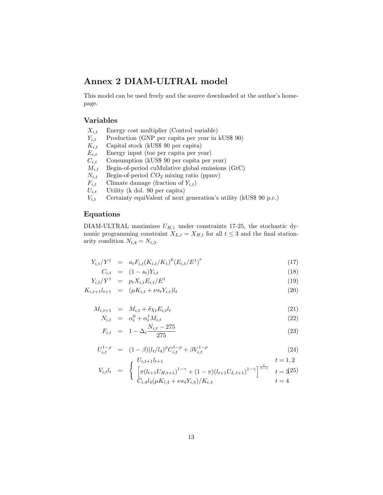### Annex 2 DIAM-ULTRAL model

This model can be used freely and the source downloaded at the author's homepage.

#### Variables

| $X_{i,t}$ |  |  | Energy cost multiplier (Control variable) |  |  |
|-----------|--|--|-------------------------------------------|--|--|
|-----------|--|--|-------------------------------------------|--|--|

- $Y_{i,t}$  Production (GNP per capita per year in kUS\$ 90)
- $K_{i,t}$  Capital stock (kUS\$ 90 per capita)
- $E_{i,t}$  Energy input (toe per capita per year)
- $C_{i,t}$  Consumption (kUS\$ 90 per capita per year)
- $M_{i,t}$  Begin-of-period cuMulative global emissions (GtC)
- $N_{i,t}$  Begin-of-period  $CO_2$  mixing ratio (ppmv)
- $F_{i,t}$  Climate damage (fraction of  $Y_{i,t}$ )<br>  $U_{i,t}$  Utility (k dol. 90 per capita)
- Utility (k dol. 90 per capita)
- $V_{i,t}$  Certainty equiValent of next generation's utility (kUS\$ 90 p.c.)

#### Equations

DIAM-ULTRAL maximizes  $U_{H,1}$  under constraints 17-25, the stochastic dynamic programming constraint  $X_{L,t} = X_{H,t}$  for all  $t \leq 3$  and the final stationarity condition  $N_{i,4} = N_{i,3}$ .

$$
Y_{i,t}/Y^1 = a_t F_{i,t} (K_{i,t}/K_1)^k (E_{i,t}/E^1)^e
$$
\n(17)

$$
C_{i,t} = (1 - s_t)Y_{i,t}
$$
\n(18)

$$
Y_{i,t}/Y^1 = p_t X_{i,t} E_{i,t}/E^1 \tag{19}
$$

$$
K_{i,t+1}l_{t+1} = (\mu K_{i,t} + \nu s_t Y_{i,t})l_t \tag{20}
$$

$$
M_{i,t+1} = M_{i,t} + \delta \chi_t E_{i,t} l_t \tag{21}
$$

$$
N_{i,t} = \alpha_t^0 + \alpha_t^1 M_{i,t}
$$
  
\n
$$
F_{i,t} = 1 - \Delta_i \frac{N_{i,t} - 275}{275}
$$
\n(23)

$$
F_{i,t} = 1 - \Delta_i \frac{N_{i,t} - 275}{275} \tag{23}
$$

$$
U_{i,t}^{1-\rho} = (1-\beta)(l_t/l_4)^{\rho}C_{i,t}^{1-\rho} + \beta V_{i,t}^{1-\rho}
$$
\n(24)

$$
V_{i,t}l_{t} = \begin{cases} U_{i,t+1}l_{t+1} & t = 1,2\\ \left[ \pi (l_{t+1}U_{H,t+1})^{1-\gamma} + (1-\pi)(l_{t+1}U_{L,t+1})^{1-\gamma} \right]^{\frac{1}{1-\gamma}} & t = 3,25\\ C_{i,t}l_{4}(\mu K_{i,4} + \nu s_{4}Y_{i,4})/K_{i,4} & t = 4 \end{cases}
$$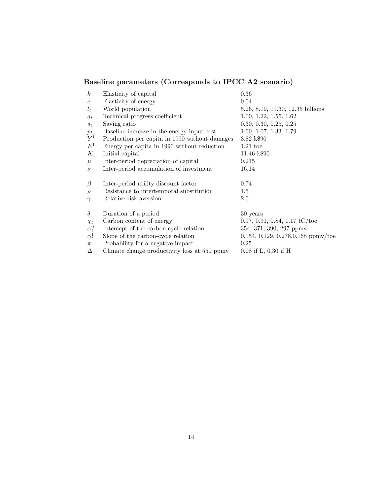|  | Baseline parameters (Corresponds to IPCC A2 scenario) |
|--|-------------------------------------------------------|
|--|-------------------------------------------------------|

| $\boldsymbol{k}$ | Elasticity of capital                         | 0.36                                  |
|------------------|-----------------------------------------------|---------------------------------------|
| $\epsilon$       | Elasticity of energy                          | 0.04                                  |
| $l_t$            | World population                              | 5.26, 8.19, 11.30, 12.35 billions     |
| $a_t$            | Technical progress coefficient                | 1.00, 1.22, 1.55, 1.62                |
| $s_t$            | Saving ratio                                  | 0.30, 0.30, 0.25, 0.25                |
| $p_t$            | Baseline increase in the energy input cost    | 1.00, 1.07, 1.33, 1.79                |
| $Y^1$            | Production per capita in 1990 without damages | 3.82 k\$90                            |
| $E^1$            | Energy per capita in 1990 without reduction   | $1.21$ toe                            |
| $K_1$            | Initial capital                               | 11.46 k\$90                           |
| $\mu$            | Inter-period depreciation of capital          | 0.215                                 |
| $\nu$            | Inter-period accumulation of investment       | 16.14                                 |
| $\beta$          | Inter-period utility discount factor          | 0.74                                  |
| $\rho$           | Resistance to intertemporal substitution      | 1.5                                   |
| $\gamma$         | Relative risk-aversion                        | 2.0                                   |
| $\delta$         | Duration of a period                          | 30 years                              |
| $\chi_t$         | Carbon content of energy                      | 0.97, 0.91, 0.84, 1.17 $tC/$ toe      |
| $\alpha_t^0$     | Intercept of the carbon-cycle relation        | 354, 371, 390, 297 ppmv               |
| $\alpha_t^1$     | Slope of the carbon-cycle relation            | $0.154, 0.129, 0.278, 0.168$ ppmv/toe |
| $\pi$            | Probability for a negative impact             | 0.25                                  |
| Δ                | Climate change productivity loss at 550 ppmv  | $0.08$ if L, $0.30$ if H              |
|                  |                                               |                                       |